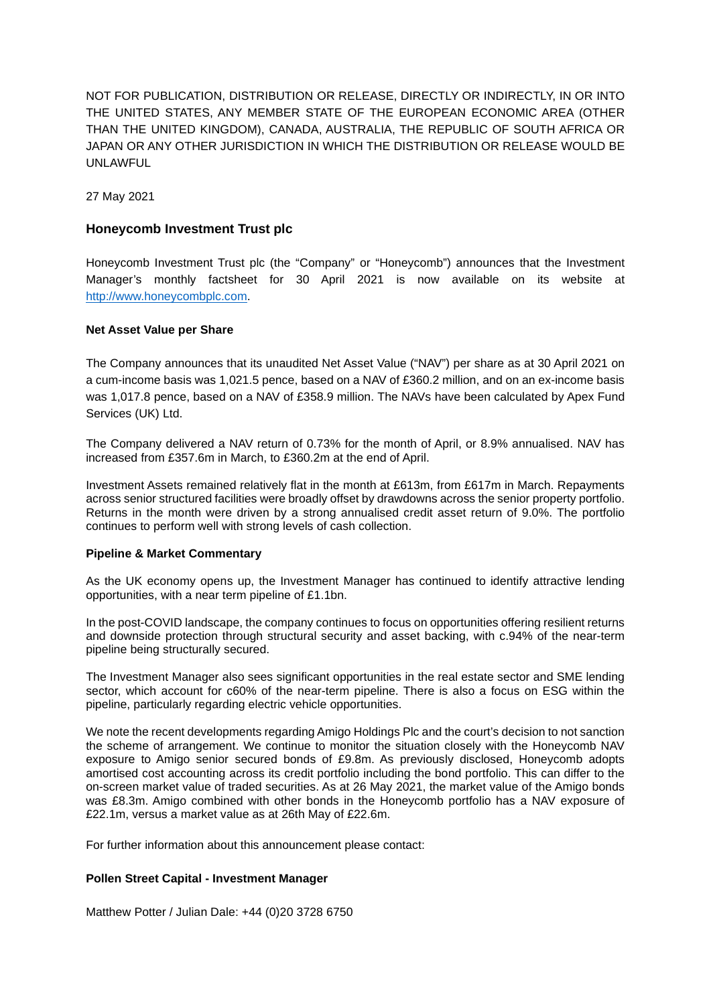NOT FOR PUBLICATION, DISTRIBUTION OR RELEASE, DIRECTLY OR INDIRECTLY, IN OR INTO THE UNITED STATES, ANY MEMBER STATE OF THE EUROPEAN ECONOMIC AREA (OTHER THAN THE UNITED KINGDOM), CANADA, AUSTRALIA, THE REPUBLIC OF SOUTH AFRICA OR JAPAN OR ANY OTHER JURISDICTION IN WHICH THE DISTRIBUTION OR RELEASE WOULD BE UNLAWFUL

27 May 2021

### **Honeycomb Investment Trust plc**

Honeycomb Investment Trust plc (the "Company" or "Honeycomb") announces that the Investment Manager's monthly factsheet for 30 April 2021 is now available on its website at [http://www.honeycombplc.com.](http://www.honeycombplc.com/documents/)

#### **Net Asset Value per Share**

The Company announces that its unaudited Net Asset Value ("NAV") per share as at 30 April 2021 on a cum-income basis was 1,021.5 pence, based on a NAV of £360.2 million, and on an ex-income basis was 1,017.8 pence, based on a NAV of £358.9 million. The NAVs have been calculated by Apex Fund Services (UK) Ltd.

The Company delivered a NAV return of 0.73% for the month of April, or 8.9% annualised. NAV has increased from £357.6m in March, to £360.2m at the end of April.

Investment Assets remained relatively flat in the month at £613m, from £617m in March. Repayments across senior structured facilities were broadly offset by drawdowns across the senior property portfolio. Returns in the month were driven by a strong annualised credit asset return of 9.0%. The portfolio continues to perform well with strong levels of cash collection.

#### **Pipeline & Market Commentary**

As the UK economy opens up, the Investment Manager has continued to identify attractive lending opportunities, with a near term pipeline of £1.1bn.

In the post-COVID landscape, the company continues to focus on opportunities offering resilient returns and downside protection through structural security and asset backing, with c.94% of the near-term pipeline being structurally secured.

The Investment Manager also sees significant opportunities in the real estate sector and SME lending sector, which account for c60% of the near-term pipeline. There is also a focus on ESG within the pipeline, particularly regarding electric vehicle opportunities.

We note the recent developments regarding Amigo Holdings Plc and the court's decision to not sanction the scheme of arrangement. We continue to monitor the situation closely with the Honeycomb NAV exposure to Amigo senior secured bonds of £9.8m. As previously disclosed, Honeycomb adopts amortised cost accounting across its credit portfolio including the bond portfolio. This can differ to the on-screen market value of traded securities. As at 26 May 2021, the market value of the Amigo bonds was £8.3m. Amigo combined with other bonds in the Honeycomb portfolio has a NAV exposure of £22.1m, versus a market value as at 26th May of £22.6m.

For further information about this announcement please contact:

#### **Pollen Street Capital - Investment Manager**

Matthew Potter / Julian Dale: +44 (0)20 3728 6750